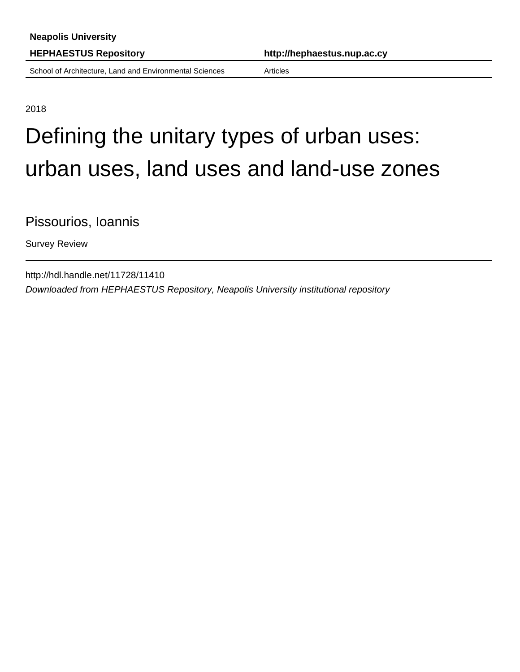School of Architecture, Land and Environmental Sciences Articles

**HEPHAESTUS Repository http://hephaestus.nup.ac.cy**

2018

# Defining the unitary types of urban uses: urban uses, land uses and land-use zones

Pissourios, Ioannis

Survey Review

http://hdl.handle.net/11728/11410 Downloaded from HEPHAESTUS Repository, Neapolis University institutional repository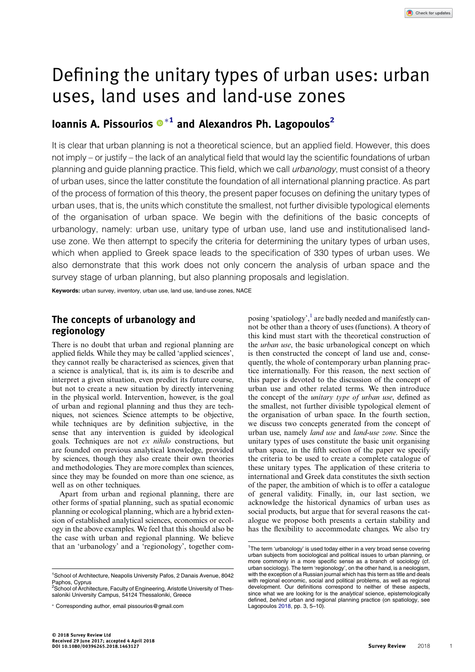# <span id="page-1-0"></span>Defining the unitary types of urban uses: urban uses, land uses and land-use zones

# Ioannis A. Pissourios <sup>® \*1</sup> and Alexandros Ph. Lagopoulos<sup>2</sup>

It is clear that urban planning is not a theoretical science, but an applied field. However, this does not imply – or justify – the lack of an analytical field that would lay the scientific foundations of urban planning and guide planning practice. This field, which we call *urbanology*, must consist of a theory of urban uses, since the latter constitute the foundation of all international planning practice. As part of the process of formation of this theory, the present paper focuses on defining the unitary types of urban uses, that is, the units which constitute the smallest, not further divisible typological elements of the organisation of urban space. We begin with the definitions of the basic concepts of urbanology, namely: urban use, unitary type of urban use, land use and institutionalised landuse zone. We then attempt to specify the criteria for determining the unitary types of urban uses, which when applied to Greek space leads to the specification of 330 types of urban uses. We also demonstrate that this work does not only concern the analysis of urban space and the survey stage of urban planning, but also planning proposals and legislation.

Keywords: urban survey, inventory, urban use, land use, land-use zones, NACE

# The concepts of urbanology and regionology

There is no doubt that urban and regional planning are applied fields. While they may be called 'applied sciences', they cannot really be characterised as sciences, given that a science is analytical, that is, its aim is to describe and interpret a given situation, even predict its future course, but not to create a new situation by directly intervening in the physical world. Intervention, however, is the goal of urban and regional planning and thus they are techniques, not sciences. Science attempts to be objective, while techniques are by definition subjective, in the sense that any intervention is guided by ideological goals. Techniques are not ex nihilo constructions, but are founded on previous analytical knowledge, provided by sciences, though they also create their own theories and methodologies. They are more complex than sciences, since they may be founded on more than one science, as well as on other techniques.

Apart from urban and regional planning, there are other forms of spatial planning, such as spatial economic planning or ecological planning, which are a hybrid extension of established analytical sciences, economics or ecology in the above examples. We feel that this should also be the case with urban and regional planning. We believe that an 'urbanology' and a 'regionology', together com-

posing 'spatiology', <sup>1</sup> are badly needed and manifestly cannot be other than a theory of uses (functions). A theory of this kind must start with the theoretical construction of the urban use, the basic urbanological concept on which is then constructed the concept of land use and, consequently, the whole of contemporary urban planning practice internationally. For this reason, the next section of this paper is devoted to the discussion of the concept of urban use and other related terms. We then introduce the concept of the unitary type of urban use, defined as the smallest, not further divisible typological element of the organisation of urban space. In the fourth section, we discuss two concepts generated from the concept of urban use, namely land use and land-use zone. Since the unitary types of uses constitute the basic unit organising urban space, in the fifth section of the paper we specify the criteria to be used to create a complete catalogue of these unitary types. The application of these criteria to international and Greek data constitutes the sixth section of the paper, the ambition of which is to offer a catalogue of general validity. Finally, in, our last section, we acknowledge the historical dynamics of urban uses as social products, but argue that for several reasons the catalogue we propose both presents a certain stability and has the flexibility to accommodate changes. We also try

<sup>&</sup>lt;sup>1</sup>School of Architecture, Neapolis University Pafos, 2 Danais Avenue, 8042 Paphos, Cyprus

<sup>&</sup>lt;sup>2</sup>School of Architecture, Faculty of Engineering, Aristotle University of Thessaloniki University Campus, 54124 Thessaloniki, Greece

<sup>∗</sup> Corresponding author, email [pissourios@gmail.com](mailto:pissourios@gmail.com)

<sup>&</sup>lt;sup>1</sup>The term 'urbanology' is used today either in a very broad sense covering urban subjects from sociological and political issues to urban planning, or more commonly in a more specific sense as a branch of sociology (cf. urban sociology). The term 'regionology', on the other hand, is a neologism, with the exception of a Russian journal which has this term as title and deals with regional economic, social and political problems, as well as regional development. Our definitions correspond to neither of these aspects, since what we are looking for is the *analytical* science, epistemologically defined, behind urban and regional planning practice (on spatiology, see Lagopoulos [2018,](#page-14-0) pp. 3, 5–10).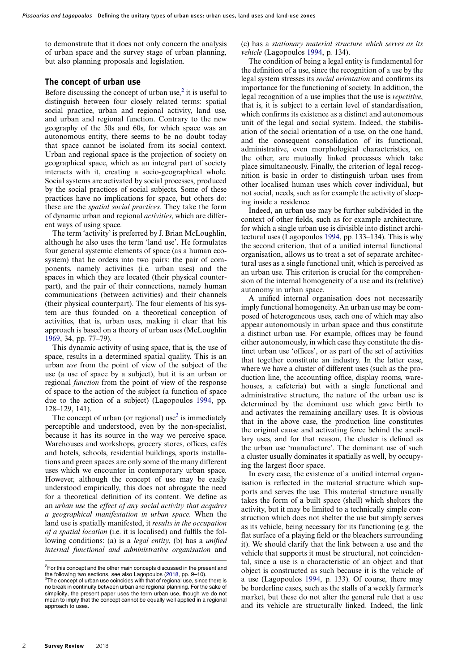<span id="page-2-0"></span>to demonstrate that it does not only concern the analysis of urban space and the survey stage of urban planning, but also planning proposals and legislation.

#### The concept of urban use

Before discussing the concept of urban use, $2$  it is useful to distinguish between four closely related terms: spatial social practice, urban and regional activity, land use, and urban and regional function. Contrary to the new geography of the 50s and 60s, for which space was an autonomous entity, there seems to be no doubt today that space cannot be isolated from its social context. Urban and regional space is the projection of society on geographical space, which as an integral part of society interacts with it, creating a socio-geographical whole. Social systems are activated by social processes, produced by the social practices of social subjects. Some of these practices have no implications for space, but others do: these are the spatial social practices. They take the form of dynamic urban and regional activities, which are different ways of using space.

The term 'activity' is preferred by J. Brian McLoughlin, although he also uses the term 'land use'. He formulates four general systemic elements of space (as a human ecosystem) that he orders into two pairs: the pair of components, namely activities (i.e. urban uses) and the spaces in which they are located (their physical counterpart), and the pair of their connections, namely human communications (between activities) and their channels (their physical counterpart). The four elements of his system are thus founded on a theoretical conception of activities, that is, urban uses, making it clear that his approach is based on a theory of urban uses (McLoughlin [1969](#page-14-0), 34, pp. 77–79).

This dynamic activity of using space, that is, the use of space, results in a determined spatial quality. This is an urban use from the point of view of the subject of the use (a use of space by a subject), but it is an urban or regional function from the point of view of the response of space to the action of the subject (a function of space due to the action of a subject) (Lagopoulos [1994,](#page-14-0) pp. 128–129, 141).

The concept of urban (or regional) use<sup>3</sup> is immediately perceptible and understood, even by the non-specialist, because it has its source in the way we perceive space. Warehouses and workshops, grocery stores, offices, cafés and hotels, schools, residential buildings, sports installations and green spaces are only some of the many different uses which we encounter in contemporary urban space. However, although the concept of use may be easily understood empirically, this does not abrogate the need for a theoretical definition of its content. We define as an urban use the effect of any social activity that acquires a geographical manifestation in urban space. When the land use is spatially manifested, it results in the occupation of a spatial location (i.e. it is localised) and fulfils the following conditions: (a) is a legal entity, (b) has a unified internal functional and administrative organisation and (c) has a stationary material structure which serves as its vehicle (Lagopoulos [1994,](#page-14-0) p. 134).

The condition of being a legal entity is fundamental for the definition of a use, since the recognition of a use by the legal system stresses its social orientation and confirms its importance for the functioning of society. In addition, the legal recognition of a use implies that the use is repetitive, that is, it is subject to a certain level of standardisation, which confirms its existence as a distinct and autonomous unit of the legal and social system. Indeed, the stabilisation of the social orientation of a use, on the one hand, and the consequent consolidation of its functional, administrative, even morphological characteristics, on the other, are mutually linked processes which take place simultaneously. Finally, the criterion of legal recognition is basic in order to distinguish urban uses from other localised human uses which cover individual, but not social, needs, such as for example the activity of sleeping inside a residence.

Indeed, an urban use may be further subdivided in the context of other fields, such as for example architecture, for which a single urban use is divisible into distinct architectural uses (Lagopoulos [1994,](#page-14-0) pp. 133–134). This is why the second criterion, that of a unified internal functional organisation, allows us to treat a set of separate architectural uses as a single functional unit, which is perceived as an urban use. This criterion is crucial for the comprehension of the internal homogeneity of a use and its (relative) autonomy in urban space.

A unified internal organisation does not necessarily imply functional homogeneity. An urban use may be composed of heterogeneous uses, each one of which may also appear autonomously in urban space and thus constitute a distinct urban use. For example, offices may be found either autonomously, in which case they constitute the distinct urban use 'offices', or as part of the set of activities that together constitute an industry. In the latter case, where we have a cluster of different uses (such as the production line, the accounting office, display rooms, warehouses, a cafeteria) but with a single functional and administrative structure, the nature of the urban use is determined by the dominant use which gave birth to and activates the remaining ancillary uses. It is obvious that in the above case, the production line constitutes the original cause and activating force behind the ancillary uses, and for that reason, the cluster is defined as the urban use 'manufacture'. The dominant use of such a cluster usually dominates it spatially as well, by occupying the largest floor space.

In every case, the existence of a unified internal organisation is reflected in the material structure which supports and serves the use. This material structure usually takes the form of a built space (shell) which shelters the activity, but it may be limited to a technically simple construction which does not shelter the use but simply serves as its vehicle, being necessary for its functioning (e.g. the flat surface of a playing field or the bleachers surrounding it). We should clarify that the link between a use and the vehicle that supports it must be structural, not coincidental, since a use is a characteristic of an object and that object is constructed as such because it is the vehicle of a use (Lagopoulos [1994](#page-14-0), p. 133). Of course, there may be borderline cases, such as the stalls of a weekly farmer's market, but these do not alter the general rule that a use and its vehicle are structurally linked. Indeed, the link

<sup>&</sup>lt;sup>2</sup>For this concept and the other main concepts discussed in the present and the following two sections, see also Lagopoulos [\(2018,](#page-14-0) pp. 9–10).<br><sup>3</sup>The concept of urban use coincides with that of regional use, since there is

no break in continuity between urban and regional planning. For the sake of simplicity, the present paper uses the term urban use, though we do not mean to imply that the concept cannot be equally well applied in a regional approach to uses.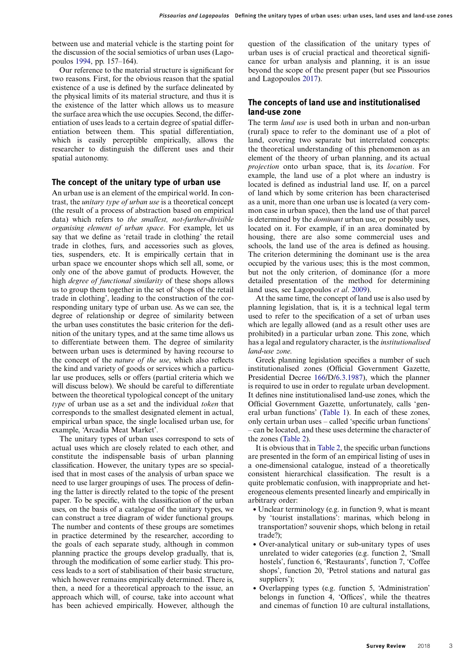<span id="page-3-0"></span>between use and material vehicle is the starting point for the discussion of the social semiotics of urban uses (Lagopoulos [1994,](#page-14-0) pp. 157–164).

Our reference to the material structure is significant for two reasons. First, for the obvious reason that the spatial existence of a use is defined by the surface delineated by the physical limits of its material structure, and thus it is the existence of the latter which allows us to measure the surface area which the use occupies. Second, the differentiation of uses leads to a certain degree of spatial differentiation between them. This spatial differentiation, which is easily perceptible empirically, allows the researcher to distinguish the different uses and their spatial autonomy.

#### The concept of the unitary type of urban use

An urban use is an element of the empirical world. In contrast, the unitary type of urban use is a theoretical concept (the result of a process of abstraction based on empirical data) which refers to the smallest, not-further-divisible organising element of urban space. For example, let us say that we define as 'retail trade in clothing' the retail trade in clothes, furs, and accessories such as gloves, ties, suspenders, etc. It is empirically certain that in urban space we encounter shops which sell all, some, or only one of the above gamut of products. However, the high degree of functional similarity of these shops allows us to group them together in the set of 'shops of the retail trade in clothing', leading to the construction of the corresponding unitary type of urban use. As we can see, the degree of relationship or degree of similarity between the urban uses constitutes the basic criterion for the definition of the unitary types, and at the same time allows us to differentiate between them. The degree of similarity between urban uses is determined by having recourse to the concept of the nature of the use, which also reflects the kind and variety of goods or services which a particular use produces, sells or offers (partial criteria which we will discuss below). We should be careful to differentiate between the theoretical typological concept of the unitary type of urban use as a set and the individual token that corresponds to the smallest designated element in actual, empirical urban space, the single localised urban use, for example, 'Arcadia Meat Market'.

The unitary types of urban uses correspond to sets of actual uses which are closely related to each other, and constitute the indispensable basis of urban planning classification. However, the unitary types are so specialised that in most cases of the analysis of urban space we need to use larger groupings of uses. The process of defining the latter is directly related to the topic of the present paper. To be specific, with the classification of the urban uses, on the basis of a catalogue of the unitary types, we can construct a tree diagram of wider functional groups. The number and contents of these groups are sometimes in practice determined by the researcher, according to the goals of each separate study, although in common planning practice the groups develop gradually, that is, through the modification of some earlier study. This process leads to a sort of stabilisation of their basic structure, which however remains empirically determined. There is, then, a need for a theoretical approach to the issue, an approach which will, of course, take into account what has been achieved empirically. However, although the

question of the classification of the unitary types of urban uses is of crucial practical and theoretical significance for urban analysis and planning, it is an issue beyond the scope of the present paper (but see Pissourios and Lagopoulos [2017](#page-15-0)).

#### The concepts of land use and institutionalised land-use zone

The term *land use* is used both in urban and non-urban (rural) space to refer to the dominant use of a plot of land, covering two separate but interrelated concepts: the theoretical understanding of this phenomenon as an element of the theory of urban planning, and its actual projection onto urban space, that is, its location. For example, the land use of a plot where an industry is located is defined as industrial land use. If, on a parcel of land which by some criterion has been characterised as a unit, more than one urban use is located (a very common case in urban space), then the land use of that parcel is determined by the dominant urban use, or possibly uses, located on it. For example, if in an area dominated by housing, there are also some commercial uses and schools, the land use of the area is defined as housing. The criterion determining the dominant use is the area occupied by the various uses; this is the most common, but not the only criterion, of dominance (for a more detailed presentation of the method for determining land uses, see Lagopoulos et al. [2009](#page-14-0)).

At the same time, the concept of land use is also used by planning legislation, that is, it is a technical legal term used to refer to the specification of a set of urban uses which are legally allowed (and as a result other uses are prohibited) in a particular urban zone. This zone, which has a legal and regulatory character, is the institutionalised land-use zone.

Greek planning legislation specifies a number of such institutionalised zones (Official Government Gazette, Presidential Decree [166](#page-14-0)/D[/6.3](#page-14-0).[1987\)](#page-14-0), which the planner is required to use in order to regulate urban development. It defines nine institutionalised land-use zones, which the Official Government Gazette, unfortunately, calls 'general urban functions' [\(Table 1](#page-4-0)). In each of these zones, only certain urban uses – called 'specific urban functions' – can be located, and these uses determine the character of the zones [\(Table 2\)](#page-4-0).

It is obvious that in [Table 2](#page-4-0), the specific urban functions are presented in the form of an empirical listing of uses in a one-dimensional catalogue, instead of a theoretically consistent hierarchical classification. The result is a quite problematic confusion, with inappropriate and heterogeneous elements presented linearly and empirically in arbitrary order:

- . Unclear terminology (e.g. in function 9, what is meant by 'tourist installations': marinas, which belong in transportation? souvenir shops, which belong in retail trade?);
- . Over-analytical unitary or sub-unitary types of uses unrelated to wider categories (e.g. function 2, 'Small hostels', function 6, 'Restaurants', function 7, 'Coffee shops', function 20, 'Petrol stations and natural gas suppliers');
- . Overlapping types (e.g. function 5, 'Administration' belongs in function 4, 'Offices', while the theatres and cinemas of function 10 are cultural installations,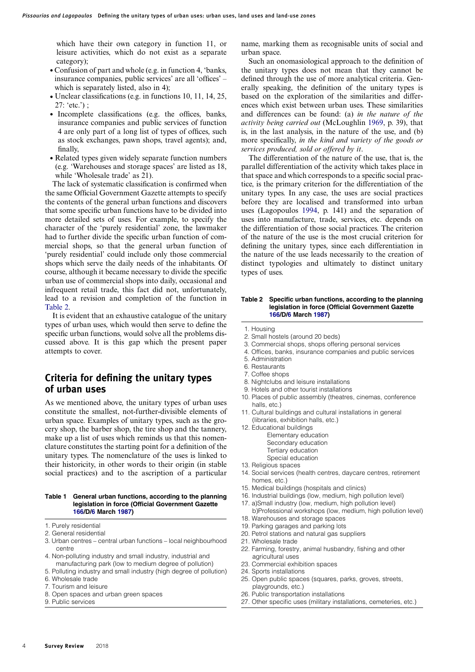<span id="page-4-0"></span>which have their own category in function 11, or leisure activities, which do not exist as a separate category);

- . Confusion of part and whole (e.g. in function 4, 'banks, insurance companies, public services' are all 'offices' – which is separately listed, also in 4);
- . Unclear classifications (e.g. in functions 10, 11, 14, 25, 27: 'etc.') ;
- . Incomplete classifications (e.g. the offices, banks, insurance companies and public services of function 4 are only part of a long list of types of offices, such as stock exchanges, pawn shops, travel agents); and, finally,
- . Related types given widely separate function numbers (e.g. 'Warehouses and storage spaces' are listed as 18, while 'Wholesale trade' as 21).

The lack of systematic classification is confirmed when the same Official Government Gazette attempts to specify the contents of the general urban functions and discovers that some specific urban functions have to be divided into more detailed sets of uses. For example, to specify the character of the 'purely residential' zone, the lawmaker had to further divide the specific urban function of commercial shops, so that the general urban function of 'purely residential' could include only those commercial shops which serve the daily needs of the inhabitants. Of course, although it became necessary to divide the specific urban use of commercial shops into daily, occasional and infrequent retail trade, this fact did not, unfortunately, lead to a revision and completion of the function in Table 2.

It is evident that an exhaustive catalogue of the unitary types of urban uses, which would then serve to define the specific urban functions, would solve all the problems discussed above. It is this gap which the present paper attempts to cover.

# Criteria for defining the unitary types of urban uses

As we mentioned above, the unitary types of urban uses constitute the smallest, not-further-divisible elements of urban space. Examples of unitary types, such as the grocery shop, the barber shop, the tire shop and the tannery, make up a list of uses which reminds us that this nomenclature constitutes the starting point for a definition of the unitary types. The nomenclature of the uses is linked to their historicity, in other words to their origin (in stable social practices) and to the ascription of a particular

#### Table 1 General urban functions, according to the planning legislation in force (Official Government Gazette [166/](#page-14-0)D/[6](#page-14-0) March [1987\)](#page-14-0)

- 1. Purely residential
- 2. General residential
- 3. Urban centres central urban functions local neighbourhood centre
- 4. Non-polluting industry and small industry, industrial and manufacturing park (low to medium degree of pollution)
- 5. Polluting industry and small industry (high degree of pollution) 6. Wholesale trade
- 7. Tourism and leisure
- 8. Open spaces and urban green spaces
- 9. Public services

name, marking them as recognisable units of social and urban space.

Such an onomasiological approach to the definition of the unitary types does not mean that they cannot be defined through the use of more analytical criteria. Generally speaking, the definition of the unitary types is based on the exploration of the similarities and differences which exist between urban uses. These similarities and differences can be found: (a) in the nature of the activity being carried out (McLoughlin [1969](#page-14-0), p. 39), that is, in the last analysis, in the nature of the use, and (b) more specifically, in the kind and variety of the goods or services produced, sold or offered by it.

The differentiation of the nature of the use, that is, the parallel differentiation of the activity which takes place in that space and which corresponds to a specific social practice, is the primary criterion for the differentiation of the unitary types. In any case, the uses are social practices before they are localised and transformed into urban uses (Lagopoulos [1994,](#page-14-0) p. 141) and the separation of uses into manufacture, trade, services, etc. depends on the differentiation of those social practices. The criterion of the nature of the use is the most crucial criterion for defining the unitary types, since each differentiation in the nature of the use leads necessarily to the creation of distinct typologies and ultimately to distinct unitary types of uses.

#### Table 2 Specific urban functions, according to the planning legislation in force (Official Government Gazette [166/](#page-14-0)D/[6](#page-14-0) March [1987\)](#page-14-0)

- 1. Housing
- 2. Small hostels (around 20 beds)
- 3. Commercial shops, shops offering personal services
- 4. Offices, banks, insurance companies and public services
- 5. Administration
- 6. Restaurants
- 7. Coffee shops
- 8. Nightclubs and leisure installations
- 9. Hotels and other tourist installations
- 10. Places of public assembly (theatres, cinemas, conference halls, etc.)
- 11. Cultural buildings and cultural installations in general (libraries, exhibition halls, etc.)
- 12. Educational buildings Elementary education Secondary education Tertiary education Special education
- 13. Religious spaces
- 14. Social services (health centres, daycare centres, retirement homes, etc.)
- 15. Medical buildings (hospitals and clinics)
- 16. Industrial buildings (low, medium, high pollution level)
- 17. a)Small industry (low, medium, high pollution level)
- b)Professional workshops (low, medium, high pollution level) 18. Warehouses and storage spaces
- 19. Parking garages and parking lots
- 20. Petrol stations and natural gas suppliers
- 21. Wholesale trade
- 22. Farming, forestry, animal husbandry, fishing and other agricultural uses
- 23. Commercial exhibition spaces
- 24. Sports installations
- 25. Open public spaces (squares, parks, groves, streets, playgrounds, etc.)
- 26. Public transportation installations
- 27. Other specific uses (military installations, cemeteries, etc.)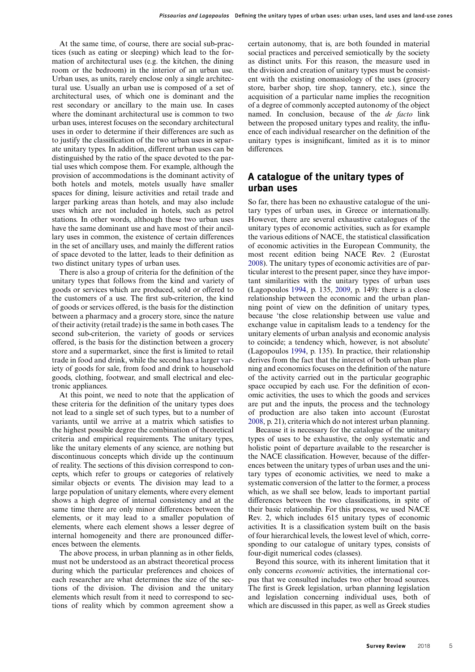<span id="page-5-0"></span>At the same time, of course, there are social sub-practices (such as eating or sleeping) which lead to the formation of architectural uses (e.g. the kitchen, the dining room or the bedroom) in the interior of an urban use. Urban uses, as units, rarely enclose only a single architectural use. Usually an urban use is composed of a set of architectural uses, of which one is dominant and the rest secondary or ancillary to the main use. In cases where the dominant architectural use is common to two urban uses, interest focuses on the secondary architectural uses in order to determine if their differences are such as to justify the classification of the two urban uses in separate unitary types. In addition, different urban uses can be distinguished by the ratio of the space devoted to the partial uses which compose them. For example, although the provision of accommodations is the dominant activity of both hotels and motels, motels usually have smaller spaces for dining, leisure activities and retail trade and larger parking areas than hotels, and may also include uses which are not included in hotels, such as petrol stations. In other words, although these two urban uses have the same dominant use and have most of their ancillary uses in common, the existence of certain differences in the set of ancillary uses, and mainly the different ratios of space devoted to the latter, leads to their definition as two distinct unitary types of urban uses.

There is also a group of criteria for the definition of the unitary types that follows from the kind and variety of goods or services which are produced, sold or offered to the customers of a use. The first sub-criterion, the kind of goods or services offered, is the basis for the distinction between a pharmacy and a grocery store, since the nature of their activity (retail trade) is the same in both cases. The second sub-criterion, the variety of goods or services offered, is the basis for the distinction between a grocery store and a supermarket, since the first is limited to retail trade in food and drink, while the second has a larger variety of goods for sale, from food and drink to household goods, clothing, footwear, and small electrical and electronic appliances.

At this point, we need to note that the application of these criteria for the definition of the unitary types does not lead to a single set of such types, but to a number of variants, until we arrive at a matrix which satisfies to the highest possible degree the combination of theoretical criteria and empirical requirements. The unitary types, like the unitary elements of any science, are nothing but discontinuous concepts which divide up the continuum of reality. The sections of this division correspond to concepts, which refer to groups or categories of relatively similar objects or events. The division may lead to a large population of unitary elements, where every element shows a high degree of internal consistency and at the same time there are only minor differences between the elements, or it may lead to a smaller population of elements, where each element shows a lesser degree of internal homogeneity and there are pronounced differences between the elements.

The above process, in urban planning as in other fields, must not be understood as an abstract theoretical process during which the particular preferences and choices of each researcher are what determines the size of the sections of the division. The division and the unitary elements which result from it need to correspond to sections of reality which by common agreement show a

certain autonomy, that is, are both founded in material social practices and perceived semiotically by the society as distinct units. For this reason, the measure used in the division and creation of unitary types must be consistent with the existing onomasiology of the uses (grocery store, barber shop, tire shop, tannery, etc.), since the acquisition of a particular name implies the recognition of a degree of commonly accepted autonomy of the object named. In conclusion, because of the de facto link between the proposed unitary types and reality, the influence of each individual researcher on the definition of the unitary types is insignificant, limited as it is to minor differences.

# A catalogue of the unitary types of urban uses

So far, there has been no exhaustive catalogue of the unitary types of urban uses, in Greece or internationally. However, there are several exhaustive catalogues of the unitary types of economic activities, such as for example the various editions of NACE, the statistical classification of economic activities in the European Community, the most recent edition being NACE Rev. 2 (Eurostat [2008](#page-14-0)). The unitary types of economic activities are of particular interest to the present paper, since they have important similarities with the unitary types of urban uses (Lagopoulos [1994,](#page-14-0) p. 135, [2009](#page-14-0), p. 149): there is a close relationship between the economic and the urban planning point of view on the definition of unitary types, because 'the close relationship between use value and exchange value in capitalism leads to a tendency for the unitary elements of urban analysis and economic analysis to coincide; a tendency which, however, is not absolute' (Lagopoulos [1994,](#page-14-0) p. 135). In practice, their relationship derives from the fact that the interest of both urban planning and economics focuses on the definition of the nature of the activity carried out in the particular geographic space occupied by each use. For the definition of economic activities, the uses to which the goods and services are put and the inputs, the process and the technology of production are also taken into account (Eurostat [2008,](#page-14-0) p. 21), criteria which do not interest urban planning.

Because it is necessary for the catalogue of the unitary types of uses to be exhaustive, the only systematic and holistic point of departure available to the researcher is the NACE classification. However, because of the differences between the unitary types of urban uses and the unitary types of economic activities, we need to make a systematic conversion of the latter to the former, a process which, as we shall see below, leads to important partial differences between the two classifications, in spite of their basic relationship. For this process, we used NACE Rev. 2, which includes 615 unitary types of economic activities. It is a classification system built on the basis of four hierarchical levels, the lowest level of which, corresponding to our catalogue of unitary types, consists of four-digit numerical codes (classes).

Beyond this source, with its inherent limitation that it only concerns economic activities, the international corpus that we consulted includes two other broad sources. The first is Greek legislation, urban planning legislation and legislation concerning individual uses, both of which are discussed in this paper, as well as Greek studies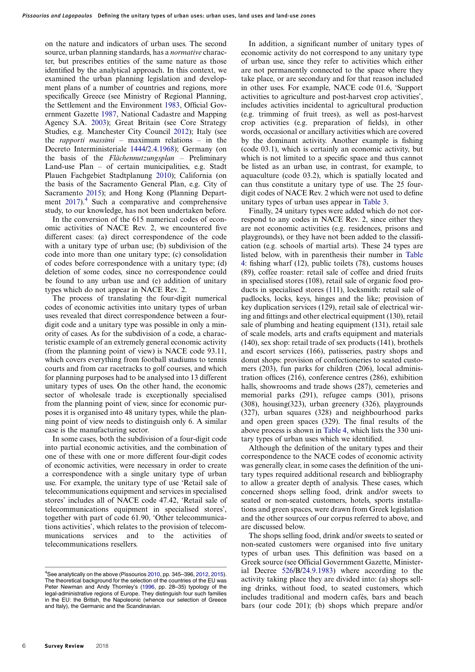<span id="page-6-0"></span>on the nature and indicators of urban uses. The second source, urban planning standards, has a normative character, but prescribes entities of the same nature as those identified by the analytical approach. In this context, we examined the urban planning legislation and development plans of a number of countries and regions, more specifically Greece (see Ministry of Regional Planning, the Settlement and the Environment [1983](#page-14-0), Official Government Gazette [1987,](#page-14-0) National Cadastre and Mapping Agency S.A. [2003](#page-14-0)); Great Britain (see Core Strategy Studies, e.g. Manchester City Council [2012\)](#page-14-0); Italy (see the rapporti massimi – maximum relations – in the Decreto Interministeriale [1444](#page-14-0)/[2.4](#page-14-0).[1968\)](#page-14-0); Germany (on the basis of the Flächennutzungsplan – Preliminary Land-use Plan – of certain municipalities, e.g. Stadt Plauen Fachgebiet Stadtplanung [2010\)](#page-15-0); California (on the basis of the Sacramento General Plan, e.g. City of Sacramento [2015](#page-14-0)); and Hong Kong (Planning Depart-ment [2017\)](#page-15-0).<sup>4</sup> Such a comparative and comprehensive study, to our knowledge, has not been undertaken before.

In the conversion of the 615 numerical codes of economic activities of NACE Rev. 2, we encountered five different cases: (a) direct correspondence of the code with a unitary type of urban use; (b) subdivision of the code into more than one unitary type; (c) consolidation of codes before correspondence with a unitary type; (d) deletion of some codes, since no correspondence could be found to any urban use and (e) addition of unitary types which do not appear in NACE Rev. 2.

The process of translating the four-digit numerical codes of economic activities into unitary types of urban uses revealed that direct correspondence between a fourdigit code and a unitary type was possible in only a minority of cases. As for the subdivision of a code, a characteristic example of an extremely general economic activity (from the planning point of view) is NACE code 93.11, which covers everything from football stadiums to tennis courts and from car racetracks to golf courses, and which for planning purposes had to be analysed into 13 different unitary types of uses. On the other hand, the economic sector of wholesale trade is exceptionally specialised from the planning point of view, since for economic purposes it is organised into 48 unitary types, while the planning point of view needs to distinguish only 6. A similar case is the manufacturing sector.

In some cases, both the subdivision of a four-digit code into partial economic activities, and the combination of one of these with one or more different four-digit codes of economic activities, were necessary in order to create a correspondence with a single unitary type of urban use. For example, the unitary type of use 'Retail sale of telecommunications equipment and services in specialised stores' includes all of NACE code 47.42, 'Retail sale of telecommunications equipment in specialised stores', together with part of code 61.90, 'Other telecommunications activities', which relates to the provision of telecommunications services and to the activities of telecommunications resellers.

In addition, a significant number of unitary types of economic activity do not correspond to any unitary type of urban use, since they refer to activities which either are not permanently connected to the space where they take place, or are secondary and for that reason included in other uses. For example, NACE code 01.6, 'Support activities to agriculture and post-harvest crop activities', includes activities incidental to agricultural production (e.g. trimming of fruit trees), as well as post-harvest crop activities (e.g. preparation of fields), in other words, occasional or ancillary activities which are covered by the dominant activity. Another example is fishing (code 03.1), which is certainly an economic activity, but which is not limited to a specific space and thus cannot be listed as an urban use, in contrast, for example, to aquaculture (code 03.2), which is spatially located and can thus constitute a unitary type of use. The 25 fourdigit codes of NACE Rev. 2 which were not used to define unitary types of urban uses appear in [Table 3.](#page-7-0)

Finally, 24 unitary types were added which do not correspond to any codes in NACE Rev. 2, since either they are not economic activities (e.g. residences, prisons and playgrounds), or they have not been added to the classification (e.g. schools of martial arts). These 24 types are listed below, with in parenthesis their number in [Table](#page-8-0) [4](#page-8-0): fishing wharf (12), public toilets (78), customs houses (89), coffee roaster: retail sale of coffee and dried fruits in specialised stores (108), retail sale of organic food products in specialised stores (111), locksmith: retail sale of padlocks, locks, keys, hinges and the like; provision of key duplication services (129), retail sale of electrical wiring and fittings and other electrical equipment (130), retail sale of plumbing and heating equipment (131), retail sale of scale models, arts and crafts equipment and materials (140), sex shop: retail trade of sex products (141), brothels and escort services (166), patisseries, pastry shops and donut shops: provision of confectioneries to seated customers (203), fun parks for children (206), local administration offices (216), conference centres (286), exhibition halls, showrooms and trade shows (287), cemeteries and memorial parks (291), refugee camps (301), prisons (308), housing(323), urban greenery (326), playgrounds (327), urban squares (328) and neighbourhood parks and open green spaces (329). The final results of the above process is shown in [Table 4](#page-8-0), which lists the 330 unitary types of urban uses which we identified.

Although the definition of the unitary types and their correspondence to the NACE codes of economic activity was generally clear, in some cases the definition of the unitary types required additional research and bibliography to allow a greater depth of analysis. These cases, which concerned shops selling food, drink and/or sweets to seated or non-seated customers, hotels, sports installations and green spaces, were drawn from Greek legislation and the other sources of our corpus referred to above, and are discussed below.

The shops selling food, drink and/or sweets to seated or non-seated customers were organised into five unitary types of urban uses. This definition was based on a Greek source (see Official Government Gazette, Ministerial Decree [526](#page-14-0)/B/[24.9.1983](#page-14-0)) where according to the activity taking place they are divided into: (a) shops selling drinks, without food, to seated customers, which includes traditional and modern cafés, bars and beach bars (our code 201); (b) shops which prepare and/or

<sup>4</sup> See analytically on the above (Pissourios [2010,](#page-15-0) pp. 345–396, [2012](#page-15-0), [2015](#page-15-0)). The theoretical background for the selection of the countries of the EU was Peter Newman and Andy Thornley's [\(1996,](#page-14-0) pp. 28–35) typology of the legal-administrative regions of Europe. They distinguish four such families in the EU: the British, the Napoleonic (whence our selection of Greece and Italy), the Germanic and the Scandinavian.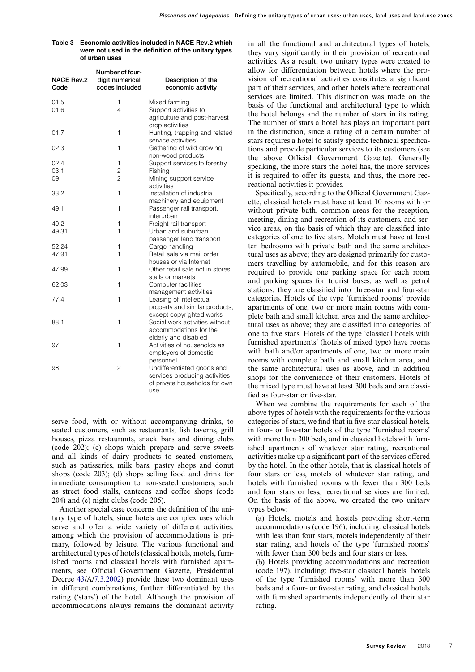<span id="page-7-0"></span>

| Table 3 Economic activities included in NACE Rev.2 which |
|----------------------------------------------------------|
| were not used in the definition of the unitary types     |
| of urban uses                                            |

| <b>NACE Rev.2</b><br>Code | Number of four-<br>digit numerical<br>codes included | Description of the<br>economic activity                                                                          |
|---------------------------|------------------------------------------------------|------------------------------------------------------------------------------------------------------------------|
| 01.5<br>01.6              | 1<br>4                                               | Mixed farming<br>Support activities to<br>agriculture and post-harvest<br>crop activities                        |
| 01.7                      | 1                                                    | Hunting, trapping and related<br>service activities                                                              |
| 02.3                      | 1                                                    | Gathering of wild growing<br>non-wood products                                                                   |
| 02.4                      | 1                                                    | Support services to forestry                                                                                     |
| 03.1                      | $\overline{c}$                                       | Fishing                                                                                                          |
| 09                        | $\overline{c}$                                       | Mining support service<br>activities                                                                             |
| 33.2                      | 1                                                    | Installation of industrial<br>machinery and equipment                                                            |
| 49.1                      | 1                                                    | Passenger rail transport,<br>interurban                                                                          |
| 49.2                      | 1                                                    | Freight rail transport                                                                                           |
| 49.31                     | 1                                                    | Urban and suburban<br>passenger land transport                                                                   |
| 52.24                     | 1                                                    | Cargo handling                                                                                                   |
| 47.91                     | 1                                                    | Retail sale via mail order<br>houses or via Internet                                                             |
| 47.99                     | 1                                                    | Other retail sale not in stores,<br>stalls or markets                                                            |
| 62.03                     | 1                                                    | Computer facilities<br>management activities                                                                     |
| 77.4                      | 1                                                    | Leasing of intellectual<br>property and similar products,<br>except copyrighted works                            |
| 88.1                      | 1                                                    | Social work activities without<br>accommodations for the<br>elderly and disabled                                 |
| 97                        | 1                                                    | Activities of households as<br>employers of domestic                                                             |
| 98                        | $\overline{c}$                                       | personnel<br>Undifferentiated goods and<br>services producing activities<br>of private households for own<br>use |

serve food, with or without accompanying drinks, to seated customers, such as restaurants, fish taverns, grill houses, pizza restaurants, snack bars and dining clubs (code 202); (c) shops which prepare and serve sweets and all kinds of dairy products to seated customers, such as patisseries, milk bars, pastry shops and donut shops (code 203); (d) shops selling food and drink for immediate consumption to non-seated customers, such as street food stalls, canteens and coffee shops (code 204) and (e) night clubs (code 205).

Another special case concerns the definition of the unitary type of hotels, since hotels are complex uses which serve and offer a wide variety of different activities, among which the provision of accommodations is primary, followed by leisure. The various functional and architectural types of hotels (classical hotels, motels, furnished rooms and classical hotels with furnished apartments, see Official Government Gazette, Presidential Decree [43](#page-15-0)/Α[/7.3](#page-15-0).[2002\)](#page-15-0) provide these two dominant uses in different combinations, further differentiated by the rating ('stars') of the hotel. Although the provision of accommodations always remains the dominant activity

in all the functional and architectural types of hotels, they vary significantly in their provision of recreational activities. As a result, two unitary types were created to allow for differentiation between hotels where the provision of recreational activities constitutes a significant part of their services, and other hotels where recreational services are limited. This distinction was made on the basis of the functional and architectural type to which the hotel belongs and the number of stars in its rating. The number of stars a hotel has plays an important part in the distinction, since a rating of a certain number of stars requires a hotel to satisfy specific technical specifications and provide particular services to its customers (see the above Official Government Gazette). Generally speaking, the more stars the hotel has, the more services it is required to offer its guests, and thus, the more recreational activities it provides.

Specifically, according to the Official Government Gazette, classical hotels must have at least 10 rooms with or without private bath, common areas for the reception, meeting, dining and recreation of its customers, and service areas, on the basis of which they are classified into categories of one to five stars. Motels must have at least ten bedrooms with private bath and the same architectural uses as above; they are designed primarily for customers travelling by automobile, and for this reason are required to provide one parking space for each room and parking spaces for tourist buses, as well as petrol stations; they are classified into three-star and four-star categories. Hotels of the type 'furnished rooms' provide apartments of one, two or more main rooms with complete bath and small kitchen area and the same architectural uses as above; they are classified into categories of one to five stars. Hotels of the type 'classical hotels with furnished apartments' (hotels of mixed type) have rooms with bath and/or apartments of one, two or more main rooms with complete bath and small kitchen area, and the same architectural uses as above, and in addition shops for the convenience of their customers. Hotels of the mixed type must have at least 300 beds and are classified as four-star or five-star.

When we combine the requirements for each of the above types of hotels with the requirements for the various categories of stars, we find that in five-star classical hotels, in four- or five-star hotels of the type 'furnished rooms' with more than 300 beds, and in classical hotels with furnished apartments of whatever star rating, recreational activities make up a significant part of the services offered by the hotel. In the other hotels, that is, classical hotels of four stars or less, motels of whatever star rating, and hotels with furnished rooms with fewer than 300 beds and four stars or less, recreational services are limited. On the basis of the above, we created the two unitary types below:

(a) Hotels, motels and hostels providing short-term accommodations (code 196), including: classical hotels with less than four stars, motels independently of their star rating, and hotels of the type 'furnished rooms' with fewer than 300 beds and four stars or less.

(b) Hotels providing accommodations and recreation (code 197), including: five-star classical hotels, hotels of the type 'furnished rooms' with more than 300 beds and a four- or five-star rating, and classical hotels with furnished apartments independently of their star rating.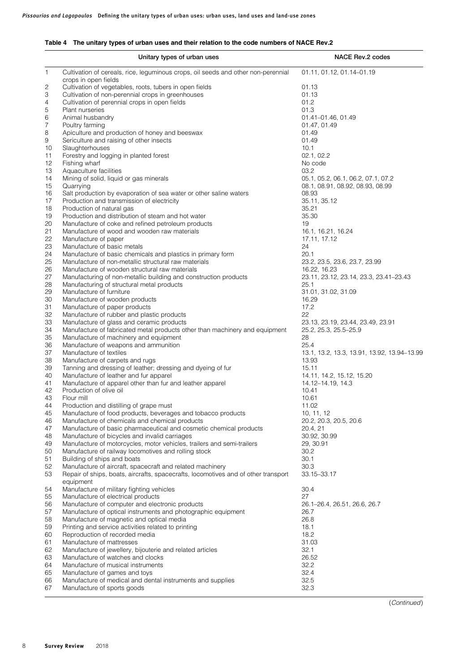<span id="page-8-0"></span>

|  | Table 4 The unitary types of urban uses and their relation to the code numbers of NACE Rev.2 |  |  |  |  |
|--|----------------------------------------------------------------------------------------------|--|--|--|--|
|--|----------------------------------------------------------------------------------------------|--|--|--|--|

|              | Unitary types of urban uses                                                                                         | <b>NACE Rev.2 codes</b>                              |
|--------------|---------------------------------------------------------------------------------------------------------------------|------------------------------------------------------|
| $\mathbf{1}$ | Cultivation of cereals, rice, leguminous crops, oil seeds and other non-perennial<br>crops in open fields           | 01.11, 01.12, 01.14-01.19                            |
| 2            | Cultivation of vegetables, roots, tubers in open fields                                                             | 01.13                                                |
| 3            | Cultivation of non-perennial crops in greenhouses                                                                   | 01.13                                                |
| 4            | Cultivation of perennial crops in open fields                                                                       | 01.2                                                 |
| 5            | Plant nurseries                                                                                                     | 01.3                                                 |
| 6            | Animal husbandry                                                                                                    | 01.41-01.46, 01.49                                   |
| 7            | Poultry farming                                                                                                     | 01.47, 01.49                                         |
| 8            | Apiculture and production of honey and beeswax                                                                      | 01.49                                                |
| 9            | Sericulture and raising of other insects<br>Slaughterhouses                                                         | 01.49<br>10.1                                        |
| 10<br>11     | Forestry and logging in planted forest                                                                              | 02.1, 02.2                                           |
| 12           | Fishing wharf                                                                                                       | No code                                              |
| 13           | Aquaculture facilities                                                                                              | 03.2                                                 |
| 14           | Mining of solid, liquid or gas minerals                                                                             | 05.1, 05.2, 06.1, 06.2, 07.1, 07.2                   |
| 15           | Quarrying                                                                                                           | 08.1, 08.91, 08.92, 08.93, 08.99                     |
| 16           | Salt production by evaporation of sea water or other saline waters                                                  | 08.93                                                |
| 17           | Production and transmission of electricity                                                                          | 35.11, 35.12                                         |
| 18           | Production of natural gas                                                                                           | 35.21                                                |
| 19           | Production and distribution of steam and hot water                                                                  | 35.30                                                |
| 20           | Manufacture of coke and refined petroleum products                                                                  | 19                                                   |
| 21           | Manufacture of wood and wooden raw materials                                                                        | 16.1, 16.21, 16.24                                   |
| 22           | Manufacture of paper                                                                                                | 17.11, 17.12                                         |
| 23           | Manufacture of basic metals                                                                                         | 24                                                   |
| 24<br>25     | Manufacture of basic chemicals and plastics in primary form<br>Manufacture of non-metallic structural raw materials | 20.1<br>23.2, 23.5, 23.6, 23.7, 23.99                |
| 26           | Manufacture of wooden structural raw materials                                                                      | 16.22, 16.23                                         |
| 27           | Manufacturing of non-metallic building and construction products                                                    | 23.11, 23.12, 23.14, 23.3, 23.41-23.43               |
| 28           | Manufacturing of structural metal products                                                                          | 25.1                                                 |
| 29           | Manufacture of furniture                                                                                            | 31.01, 31.02, 31.09                                  |
| 30           | Manufacture of wooden products                                                                                      | 16.29                                                |
| 31           | Manufacture of paper products                                                                                       | 17.2                                                 |
| 32           | Manufacture of rubber and plastic products                                                                          | 22                                                   |
| 33           | Manufacture of glass and ceramic products                                                                           | 23.13, 23.19, 23.44, 23.49, 23.91                    |
| 34           | Manufacture of fabricated metal products other than machinery and equipment                                         | 25.2, 25.3, 25.5-25.9                                |
| 35           | Manufacture of machinery and equipment                                                                              | 28                                                   |
| 36           | Manufacture of weapons and ammunition                                                                               | 25.4                                                 |
| 37           | Manufacture of textiles<br>Manufacture of carpets and rugs                                                          | 13.1, 13.2, 13.3, 13.91, 13.92, 13.94–13.99<br>13.93 |
| 38<br>39     | Tanning and dressing of leather; dressing and dyeing of fur                                                         | 15.11                                                |
| 40           | Manufacture of leather and fur apparel                                                                              | 14.11, 14.2, 15.12, 15.20                            |
| 41           | Manufacture of apparel other than fur and leather apparel                                                           | 14.12-14.19, 14.3                                    |
| 42           | Production of olive oil                                                                                             | 10.41                                                |
| 43           | Flour mill                                                                                                          | 10.61                                                |
| 44           | Production and distilling of grape must                                                                             | 11.02                                                |
| 45           | Manufacture of food products, beverages and tobacco products                                                        | 10, 11, 12                                           |
| 46           | Manufacture of chemicals and chemical products                                                                      | 20.2, 20.3, 20.5, 20.6                               |
| 47           | Manufacture of basic pharmaceutical and cosmetic chemical products                                                  | 20.4, 21                                             |
| 48           | Manufacture of bicycles and invalid carriages                                                                       | 30.92, 30.99                                         |
| 49           | Manufacture of motorcycles, motor vehicles, trailers and semi-trailers                                              | 29, 30.91                                            |
| 50           | Manufacture of railway locomotives and rolling stock                                                                | 30.2<br>30.1                                         |
| 51<br>52     | Building of ships and boats<br>Manufacture of aircraft, spacecraft and related machinery                            | 30.3                                                 |
| 53           | Repair of ships, boats, aircrafts, spacecrafts, locomotives and of other transport                                  | 33.15-33.17                                          |
|              | equipment                                                                                                           |                                                      |
| 54           | Manufacture of military fighting vehicles                                                                           | 30.4                                                 |
| 55           | Manufacture of electrical products                                                                                  | 27                                                   |
| 56           | Manufacture of computer and electronic products                                                                     | 26.1-26.4, 26.51, 26.6, 26.7                         |
| 57           | Manufacture of optical instruments and photographic equipment                                                       | 26.7                                                 |
| 58           | Manufacture of magnetic and optical media                                                                           | 26.8                                                 |
| 59           | Printing and service activities related to printing                                                                 | 18.1                                                 |
| 60           | Reproduction of recorded media                                                                                      | 18.2                                                 |
| 61           | Manufacture of mattresses                                                                                           | 31.03                                                |
| 62           | Manufacture of jewellery, bijouterie and related articles                                                           | 32.1<br>26.52                                        |
| 63<br>64     | Manufacture of watches and clocks<br>Manufacture of musical instruments                                             | 32.2                                                 |
| 65           | Manufacture of games and toys                                                                                       | 32.4                                                 |
| 66           | Manufacture of medical and dental instruments and supplies                                                          | 32.5                                                 |
| 67           | Manufacture of sports goods                                                                                         | 32.3                                                 |
|              |                                                                                                                     |                                                      |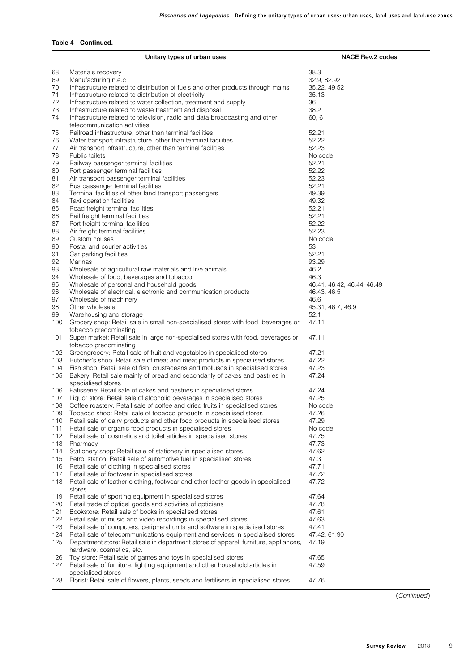|          | Unitary types of urban uses                                                                                        | NACE Rev.2 codes          |
|----------|--------------------------------------------------------------------------------------------------------------------|---------------------------|
| 68       | Materials recovery                                                                                                 | 38.3                      |
| 69       | Manufacturing n.e.c.                                                                                               | 32.9, 82.92               |
| 70       | Infrastructure related to distribution of fuels and other products through mains                                   | 35.22, 49.52              |
| 71       | Infrastructure related to distribution of electricity                                                              | 35.13                     |
| 72       | Infrastructure related to water collection, treatment and supply                                                   | 36                        |
| 73       | Infrastructure related to waste treatment and disposal                                                             | 38.2                      |
| 74       | Infrastructure related to television, radio and data broadcasting and other<br>telecommunication activities        | 60, 61                    |
| 75       | Railroad infrastructure, other than terminal facilities                                                            | 52.21                     |
| 76       | Water transport infrastructure, other than terminal facilities                                                     | 52.22                     |
| 77       | Air transport infrastructure, other than terminal facilities                                                       | 52.23                     |
| 78       | Public toilets                                                                                                     | No code                   |
| 79       | Railway passenger terminal facilities                                                                              | 52.21                     |
| 80       | Port passenger terminal facilities                                                                                 | 52.22                     |
| 81       | Air transport passenger terminal facilities                                                                        | 52.23                     |
| 82       | Bus passenger terminal facilities                                                                                  | 52.21                     |
| 83       | Terminal facilities of other land transport passengers                                                             | 49.39                     |
| 84       | Taxi operation facilities                                                                                          | 49.32                     |
| 85       | Road freight terminal facilities<br>Rail freight terminal facilities                                               | 52.21<br>52.21            |
| 86       | Port freight terminal facilities                                                                                   | 52.22                     |
| 87<br>88 | Air freight terminal facilities                                                                                    | 52.23                     |
| 89       | Custom houses                                                                                                      | No code                   |
| 90       | Postal and courier activities                                                                                      | 53                        |
| 91       | Car parking facilities                                                                                             | 52.21                     |
| 92       | Marinas                                                                                                            | 93.29                     |
| 93       | Wholesale of agricultural raw materials and live animals                                                           | 46.2                      |
| 94       | Wholesale of food, beverages and tobacco                                                                           | 46.3                      |
| 95       | Wholesale of personal and household goods                                                                          | 46.41, 46.42, 46.44–46.49 |
| 96       | Wholesale of electrical, electronic and communication products                                                     | 46.43, 46.5               |
| 97       | Wholesale of machinery                                                                                             | 46.6                      |
| 98       | Other wholesale                                                                                                    | 45.31, 46.7, 46.9         |
| 99       | Warehousing and storage                                                                                            | 52.1                      |
| 100      | Grocery shop: Retail sale in small non-specialised stores with food, beverages or<br>tobacco predominating         | 47.11                     |
| 101      | Super market: Retail sale in large non-specialised stores with food, beverages or<br>tobacco predominating         | 47.11                     |
| 102      | Greengrocery: Retail sale of fruit and vegetables in specialised stores                                            | 47.21                     |
| 103      | Butcher's shop: Retail sale of meat and meat products in specialised stores                                        | 47.22                     |
| 104      | Fish shop: Retail sale of fish, crustaceans and molluscs in specialised stores                                     | 47.23                     |
| 105      | Bakery: Retail sale mainly of bread and secondarily of cakes and pastries in<br>specialised stores                 | 47.24                     |
| 106      | Patisserie: Retail sale of cakes and pastries in specialised stores                                                | 47.24                     |
| 107      | Liquor store: Retail sale of alcoholic beverages in specialised stores                                             | 47.25                     |
| 108      | Coffee roastery: Retail sale of coffee and dried fruits in specialised stores                                      | No code                   |
| 109      | Tobacco shop: Retail sale of tobacco products in specialised stores                                                | 47.26                     |
| 110      | Retail sale of dairy products and other food products in specialised stores                                        | 47.29                     |
| 111      | Retail sale of organic food products in specialised stores                                                         | No code                   |
| 112      | Retail sale of cosmetics and toilet articles in specialised stores                                                 | 47.75                     |
| 113      | Pharmacy                                                                                                           | 47.73                     |
| 114      | Stationery shop: Retail sale of stationery in specialised stores                                                   | 47.62                     |
| 115      | Petrol station: Retail sale of automotive fuel in specialised stores                                               | 47.3                      |
| 116      | Retail sale of clothing in specialised stores                                                                      | 47.71                     |
| 117      | Retail sale of footwear in specialised stores                                                                      | 47.72                     |
| 118      | Retail sale of leather clothing, footwear and other leather goods in specialised<br>stores                         | 47.72                     |
| 119      | Retail sale of sporting equipment in specialised stores                                                            | 47.64                     |
| 120      | Retail trade of optical goods and activities of opticians                                                          | 47.78                     |
| 121      | Bookstore: Retail sale of books in specialised stores                                                              | 47.61                     |
| 122      | Retail sale of music and video recordings in specialised stores                                                    | 47.63                     |
| 123      | Retail sale of computers, peripheral units and software in specialised stores                                      | 47.41                     |
| 124      | Retail sale of telecommunications equipment and services in specialised stores                                     | 47.42, 61.90              |
| 125      | Department store: Retail sale in department stores of apparel, furniture, appliances,<br>hardware, cosmetics, etc. | 47.19                     |
| 126      | Toy store: Retail sale of games and toys in specialised stores                                                     | 47.65                     |
| 127      | Retail sale of furniture, lighting equipment and other household articles in<br>specialised stores                 | 47.59                     |
| 128      | Florist: Retail sale of flowers, plants, seeds and fertilisers in specialised stores                               | 47.76                     |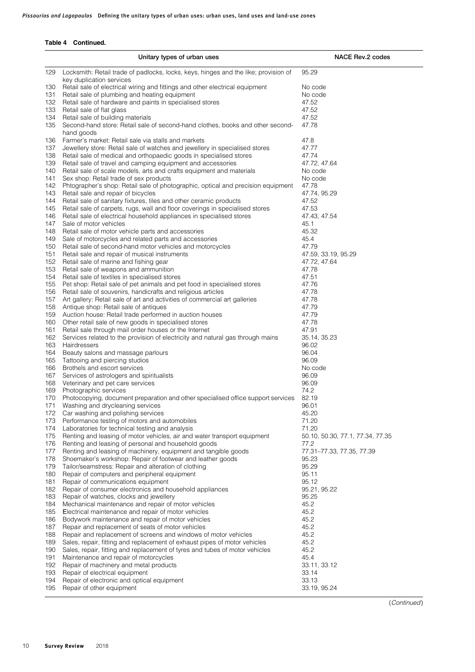|            | Unitary types of urban uses                                                                                    | NACE Rev.2 codes                 |
|------------|----------------------------------------------------------------------------------------------------------------|----------------------------------|
| 129        | Locksmith: Retail trade of padlocks, locks, keys, hinges and the like; provision of                            | 95.29                            |
| 130        | key duplication services<br>Retail sale of electrical wiring and fittings and other electrical equipment       | No code                          |
| 131        | Retail sale of plumbing and heating equipment                                                                  | No code                          |
| 132        | Retail sale of hardware and paints in specialised stores                                                       | 47.52                            |
| 133        | Retail sale of flat glass                                                                                      | 47.52                            |
| 134        | Retail sale of building materials                                                                              | 47.52                            |
| 135        | Second-hand store: Retail sale of second-hand clothes, books and other second-                                 | 47.78                            |
|            | hand goods                                                                                                     |                                  |
| 136        | Farmer's market: Retail sale via stalls and markets                                                            | 47.8                             |
| 137        | Jewellery store: Retail sale of watches and jewellery in specialised stores                                    | 47.77                            |
| 138        | Retail sale of medical and orthopaedic goods in specialised stores                                             | 47.74                            |
| 139        | Retail sale of travel and camping equipment and accessories                                                    | 47.72, 47.64                     |
| 140<br>141 | Retail sale of scale models, arts and crafts equipment and materials<br>Sex shop: Retail trade of sex products | No code<br>No code               |
| 142        | Phtographer's shop: Retail sale of photographic, optical and precision equipment                               | 47.78                            |
| 143        | Retail sale and repair of bicycles                                                                             | 47.74, 95.29                     |
| 144        | Retail sale of sanitary fixtures, tiles and other ceramic products                                             | 47.52                            |
| 145        | Retail sale of carpets, rugs, wall and floor coverings in specialised stores                                   | 47.53                            |
| 146        | Retail sale of electrical household appliances in specialised stores                                           | 47.43, 47.54                     |
| 147        | Sale of motor vehicles                                                                                         | 45.1                             |
| 148        | Retail sale of motor vehicle parts and accessories                                                             | 45.32                            |
| 149        | Sale of motorcycles and related parts and accessories                                                          | 45.4                             |
| 150        | Retail sale of second-hand motor vehicles and motorcycles                                                      | 47.79                            |
| 151        | Retail sale and repair of musical instruments                                                                  | 47.59, 33.19, 95.29              |
| 152        | Retail sale of marine and fishing gear                                                                         | 47.72, 47.64                     |
| 153        | Retail sale of weapons and ammunition                                                                          | 47.78                            |
| 154        | Retail sale of textiles in specialised stores                                                                  | 47.51                            |
| 155        | Pet shop: Retail sale of pet animals and pet food in specialised stores                                        | 47.76                            |
| 156        | Retail sale of souvenirs, handicrafts and religious articles                                                   | 47.78                            |
| 157<br>158 | Art gallery: Retail sale of art and activities of commercial art galleries                                     | 47.78<br>47.79                   |
| 159        | Antique shop: Retail sale of antiques<br>Auction house: Retail trade performed in auction houses               | 47.79                            |
| 160        | Other retail sale of new goods in specialised stores                                                           | 47.78                            |
| 161        | Retail sale through mail order houses or the Internet                                                          | 47.91                            |
| 162        | Services related to the provision of electricity and natural gas through mains                                 | 35.14, 35.23                     |
| 163        | Hairdressers                                                                                                   | 96.02                            |
| 164        | Beauty salons and massage parlours                                                                             | 96.04                            |
| 165        | Tattooing and piercing studios                                                                                 | 96.09                            |
| 166        | Brothels and escort services                                                                                   | No code                          |
| 167        | Services of astrologers and spiritualists                                                                      | 96.09                            |
| 168        | Veterinary and pet care services                                                                               | 96.09                            |
| 169        | Photographic services                                                                                          | 74.2                             |
| 170        | Photocopying, document preparation and other specialised office support services                               | 82.19                            |
| 171        | Washing and drycleaning services                                                                               | 96.01<br>45.20                   |
| 172<br>173 | Car washing and polishing services<br>Performance testing of motors and automobiles                            | 71.20                            |
| 174        | Laboratories for technical testing and analysis                                                                | 71.20                            |
| 175        | Renting and leasing of motor vehicles, air and water transport equipment                                       | 50.10, 50.30, 77.1, 77.34, 77.35 |
| 176        | Renting and leasing of personal and household goods                                                            | 77.2                             |
| 177        | Renting and leasing of machinery, equipment and tangible goods                                                 | 77.31-77.33, 77.35, 77.39        |
| 178        | Shoemaker's workshop: Repair of footwear and leather goods                                                     | 95.23                            |
| 179        | Tailor/seamstress: Repair and alteration of clothing                                                           | 95.29                            |
| 180        | Repair of computers and peripheral equipment                                                                   | 95.11                            |
| 181        | Repair of communications equipment                                                                             | 95.12                            |
| 182        | Repair of consumer electronics and household appliances                                                        | 95.21, 95.22                     |
| 183        | Repair of watches, clocks and jewellery                                                                        | 95.25                            |
| 184        | Mechanical maintenance and repair of motor vehicles                                                            | 45.2                             |
| 185        | Electrical maintenance and repair of motor vehicles                                                            | 45.2                             |
| 186<br>187 | Bodywork maintenance and repair of motor vehicles<br>Repair and replacement of seats of motor vehicles         | 45.2<br>45.2                     |
| 188        | Repair and replacement of screens and windows of motor vehicles                                                | 45.2                             |
| 189        | Sales, repair, fitting and replacement of exhaust pipes of motor vehicles                                      | 45.2                             |
| 190        | Sales, repair, fitting and replacement of tyres and tubes of motor vehicles                                    | 45.2                             |
| 191        | Maintenance and repair of motorcycles                                                                          | 45.4                             |
| 192        | Repair of machinery and metal products                                                                         | 33.11, 33.12                     |
| 193        | Repair of electrical equipment                                                                                 | 33.14                            |
| 194        | Repair of electronic and optical equipment                                                                     | 33.13                            |
| 195        | Repair of other equipment                                                                                      | 33.19, 95.24                     |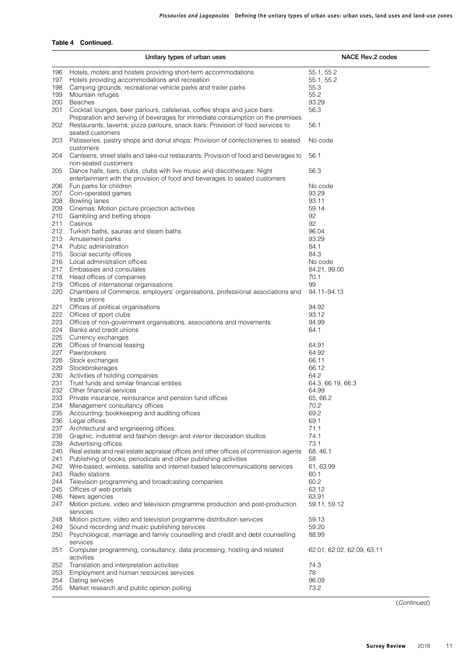|            | Unitary types of urban uses                                                                                                                                       | <b>NACE Rev.2 codes</b>    |
|------------|-------------------------------------------------------------------------------------------------------------------------------------------------------------------|----------------------------|
| 196        | Hotels, motels and hostels providing short-term accommodations                                                                                                    | 55.1, 55.2                 |
| 197        | Hotels providing accommodations and recreation                                                                                                                    | 55.1, 55.2                 |
| 198        | Camping grounds, recreational vehicle parks and trailer parks                                                                                                     | 55.3                       |
| 199        | Mountain refuges                                                                                                                                                  | 55.2                       |
| 200        | <b>Beaches</b>                                                                                                                                                    | 93.29                      |
| 201        | Cocktail lounges, beer parlours, cafeterias, coffee shops and juice bars:                                                                                         | 56.3                       |
| 202        | Preparation and serving of beverages for immediate consumption on the premises<br>Restaurants, taverns, pizza parlours, snack bars: Provision of food services to | 56.1                       |
| 203        | seated customers<br>Patisseries, pastry shops and donut shops: Provision of confectioneries to seated                                                             | No code                    |
|            | customers                                                                                                                                                         |                            |
| 204        | Canteens, street stalls and take-out restaurants: Provision of food and beverages to<br>non-seated customers                                                      | 56.1                       |
| 205        | Dance halls, bars, clubs, clubs with live music and discotheques: Night<br>entertainment with the provision of food and beverages to seated customers             | 56.3                       |
| 206        | Fun parks for children                                                                                                                                            | No code                    |
| 207        | Coin-operated games                                                                                                                                               | 93.29                      |
| 208        | Bowling lanes                                                                                                                                                     | 93.11                      |
| 209        | Cinemas: Motion picture projection activities                                                                                                                     | 59.14                      |
| 210        | Gambling and betting shops                                                                                                                                        | 92                         |
| 211        | Casinos                                                                                                                                                           | 92                         |
| 212        | Turkish baths, saunas and steam baths                                                                                                                             | 96.04                      |
| 213        | Amusement parks                                                                                                                                                   | 93.29                      |
| 214        | Public administration                                                                                                                                             | 84.1                       |
| 215        | Social security offices                                                                                                                                           | 84.3                       |
| 216        | Local administration offices                                                                                                                                      | No code                    |
| 217        | Embassies and consulates                                                                                                                                          | 84.21, 99.00               |
| 218        | Head offices of companies                                                                                                                                         | 70.1                       |
| 219        | Offices of international organisations                                                                                                                            | 99                         |
| 220        | Chambers of Commerce, employers' organisations, professional associations and<br>trade unions                                                                     | 94.11-94.13                |
| 221        | Offices of political organisations                                                                                                                                | 94.92                      |
| 222        | Offices of sport clubs                                                                                                                                            | 93.12                      |
| 223        | Offices of non-government organisations, associations and movements                                                                                               | 94.99                      |
| 224        | Banks and credit unions                                                                                                                                           | 64.1                       |
| 225        | Currency exchanges                                                                                                                                                |                            |
| 226        | Offices of financial leasing                                                                                                                                      | 64.91                      |
| 227        | Pawnbrokers                                                                                                                                                       | 64.92                      |
| 228        | Stock exchanges                                                                                                                                                   | 66.11                      |
| 229        | Stockbrokerages                                                                                                                                                   | 66.12                      |
| 230        | Activities of holding companies                                                                                                                                   | 64.2                       |
| 231<br>232 | Trust funds and similar financial entities<br>Other financial services                                                                                            | 64.3, 66.19, 66.3<br>64.99 |
| 233        | Private insurance, reinsurance and pension fund offices                                                                                                           | 65, 66.2                   |
| 234        | Management consultancy offices                                                                                                                                    | 70.2                       |
| 235        | Accounting, bookkeeping and auditing offices                                                                                                                      | 69.2                       |
| 236        | Legal offices                                                                                                                                                     | 69.1                       |
| 237        | Architectural and engineering offices                                                                                                                             | 71.1                       |
| 238        | Graphic, industrial and fashion design and interior decoration studios                                                                                            | 74.1<br>73.1               |
| 239<br>240 | Advertising offices<br>Real estate and real estate appraisal offices and other offices of commission agents                                                       |                            |
| 241        | Publishing of books, periodicals and other publishing activities                                                                                                  | 68, 46.1<br>58             |
| 242        | Wire-based, wireless, satellite and internet-based telecommunications services                                                                                    | 61, 63.99                  |
| 243        | Radio stations                                                                                                                                                    | 60.1                       |
| 244        | Television programming and broadcasting companies                                                                                                                 | 60.2                       |
| 245        | Offices of web portals                                                                                                                                            | 63.12                      |
| 246        | News agencies                                                                                                                                                     | 63.91                      |
| 247        | Motion picture, video and television programme production and post-production<br>services                                                                         | 59.11, 59.12               |
| 248        | Motion picture, video and television programme distribution services                                                                                              | 59.13                      |
| 249        | Sound recording and music publishing services                                                                                                                     | 59.20                      |
| 250        | Psychological, marriage and family counselling and credit and debt counselling<br>services                                                                        | 88.99                      |
| 251        | Computer programming, consultancy, data processing, hosting and related<br>activities                                                                             | 62.01, 62.02, 62.09, 63.11 |
| 252        | Translation and interpretation activities                                                                                                                         | 74.3                       |
| 253        | Employment and human resources services                                                                                                                           | 78                         |
| 254        | Dating services                                                                                                                                                   | 96.09                      |
| 255        | Market research and public opinion polling                                                                                                                        | 73.2                       |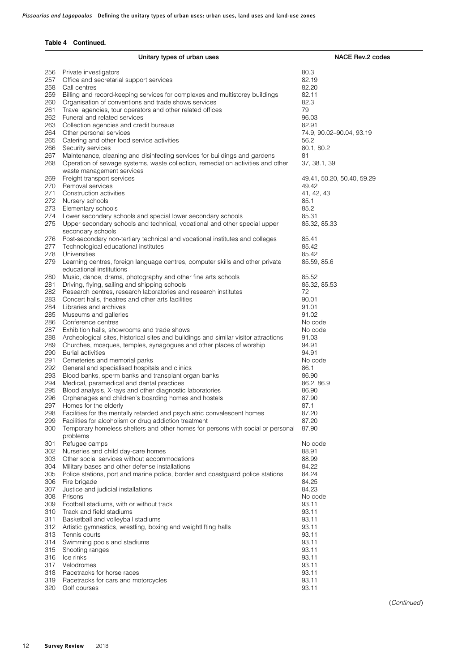|            | Unitary types of urban uses                                                                               | <b>NACE Rev.2 codes</b>             |
|------------|-----------------------------------------------------------------------------------------------------------|-------------------------------------|
| 256        | Private investigators                                                                                     | 80.3                                |
| 257        | Office and secretarial support services                                                                   | 82.19                               |
| 258        | Call centres                                                                                              | 82.20                               |
| 259        | Billing and record-keeping services for complexes and multistorey buildings                               | 82.11                               |
| 260        | Organisation of conventions and trade shows services                                                      | 82.3                                |
| 261        | Travel agencies, tour operators and other related offices                                                 | 79                                  |
| 262        | Funeral and related services                                                                              | 96.03                               |
| 263        | Collection agencies and credit bureaus                                                                    | 82.91                               |
| 264        | Other personal services                                                                                   | 74.9, 90.02-90.04, 93.19            |
| 265<br>266 | Catering and other food service activities<br>Security services                                           | 56.2<br>80.1, 80.2                  |
| 267        | Maintenance, cleaning and disinfecting services for buildings and gardens                                 | 81                                  |
| 268        | Operation of sewage systems, waste collection, remediation activities and other                           | 37, 38.1, 39                        |
|            | waste management services                                                                                 |                                     |
| 269<br>270 | Freight transport services<br>Removal services                                                            | 49.41, 50.20, 50.40, 59.29<br>49.42 |
| 271        | Construction activities                                                                                   | 41, 42, 43                          |
| 272        | Nursery schools                                                                                           | 85.1                                |
| 273        | Elementary schools                                                                                        | 85.2                                |
| 274        | Lower secondary schools and special lower secondary schools                                               | 85.31                               |
| 275        | Upper secondary schools and technical, vocational and other special upper<br>secondary schools            | 85.32, 85.33                        |
| 276        | Post-secondary non-tertiary technical and vocational institutes and colleges                              | 85.41                               |
| 277        | Technological educational institutes                                                                      | 85.42                               |
| 278        | Universities                                                                                              | 85.42                               |
| 279        | Learning centres, foreign language centres, computer skills and other private<br>educational institutions | 85.59, 85.6                         |
| 280        | Music, dance, drama, photography and other fine arts schools                                              | 85.52                               |
| 281        | Driving, flying, sailing and shipping schools                                                             | 85.32, 85.53                        |
| 282        | Research centres, research laboratories and research institutes                                           | 72                                  |
| 283        | Concert halls, theatres and other arts facilities                                                         | 90.01                               |
| 284        | Libraries and archives                                                                                    | 91.01                               |
| 285<br>286 | Museums and galleries<br>Conference centres                                                               | 91.02<br>No code                    |
| 287        | Exhibition halls, showrooms and trade shows                                                               | No code                             |
| 288        | Archeological sites, historical sites and buildings and similar visitor attractions                       | 91.03                               |
| 289        | Churches, mosques, temples, synagogues and other places of worship                                        | 94.91                               |
| 290        | <b>Burial activities</b>                                                                                  | 94.91                               |
| 291        | Cemeteries and memorial parks                                                                             | No code                             |
| 292        | General and specialised hospitals and clinics                                                             | 86.1                                |
| 293        | Blood banks, sperm banks and transplant organ banks                                                       | 86.90                               |
| 294        | Medical, paramedical and dental practices                                                                 | 86.2, 86.9                          |
| 295        | Blood analysis, X-rays and other diagnostic laboratories                                                  | 86.90                               |
| 296<br>297 | Orphanages and children's boarding homes and hostels<br>Homes for the elderly                             | 87.90<br>87.1                       |
| 298        | Facilities for the mentally retarded and psychiatric convalescent homes                                   | 87.20                               |
| 299        | Facilities for alcoholism or drug addiction treatment                                                     | 87.20                               |
| 300        | Temporary homeless shelters and other homes for persons with social or personal<br>problems               | 87.90                               |
| 301        | Refugee camps                                                                                             | No code                             |
| 302        | Nurseries and child day-care homes                                                                        | 88.91                               |
| 303        | Other social services without accommodations                                                              | 88.99                               |
| 304        | Military bases and other defense installations                                                            | 84.22                               |
| 305        | Police stations, port and marine police, border and coastguard police stations                            | 84.24                               |
| 306        | Fire brigade                                                                                              | 84.25                               |
| 307        | Justice and judicial installations                                                                        | 84.23                               |
| 308        | Prisons                                                                                                   | No code                             |
| 309        | Football stadiums, with or without track                                                                  | 93.11                               |
| 310<br>311 | Track and field stadiums<br>Basketball and volleyball stadiums                                            | 93.11<br>93.11                      |
| 312        | Artistic gymnastics, wrestling, boxing and weightlifting halls                                            | 93.11                               |
| 313        | Tennis courts                                                                                             | 93.11                               |
| 314        | Swimming pools and stadiums                                                                               | 93.11                               |
| 315        | Shooting ranges                                                                                           | 93.11                               |
| 316        | Ice rinks                                                                                                 | 93.11                               |
| 317        | Velodromes                                                                                                | 93.11                               |
| 318        | Racetracks for horse races                                                                                | 93.11                               |
| 319        | Racetracks for cars and motorcycles                                                                       | 93.11                               |
| 320        | Golf courses                                                                                              | 93.11                               |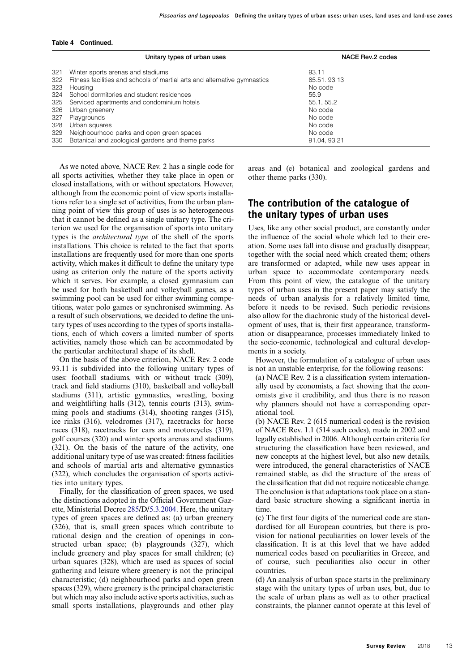|     | Unitary types of urban uses                                                   | NACE Rev.2 codes |
|-----|-------------------------------------------------------------------------------|------------------|
| 321 | Winter sports arenas and stadiums                                             | 93.11            |
|     | 322 Fitness facilities and schools of martial arts and alternative gymnastics | 85.51, 93.13     |
| 323 | Housing                                                                       | No code          |
|     | 324 School dormitories and student residences                                 | 55.9             |
| 325 | Serviced apartments and condominium hotels                                    | 55.1, 55.2       |
| 326 | Urban greenery                                                                | No code          |
| 327 | Playgrounds                                                                   | No code          |
| 328 | Urban squares                                                                 | No code          |
| 329 | Neighbourhood parks and open green spaces                                     | No code          |
|     | 330 Botanical and zoological gardens and theme parks                          | 91.04, 93.21     |

As we noted above, NACE Rev. 2 has a single code for all sports activities, whether they take place in open or closed installations, with or without spectators. However, although from the economic point of view sports installations refer to a single set of activities, from the urban planning point of view this group of uses is so heterogeneous that it cannot be defined as a single unitary type. The criterion we used for the organisation of sports into unitary types is the architectural type of the shell of the sports installations. This choice is related to the fact that sports installations are frequently used for more than one sports activity, which makes it difficult to define the unitary type using as criterion only the nature of the sports activity which it serves. For example, a closed gymnasium can be used for both basketball and volleyball games, as a swimming pool can be used for either swimming competitions, water polo games or synchronised swimming. As a result of such observations, we decided to define the unitary types of uses according to the types of sports installations, each of which covers a limited number of sports activities, namely those which can be accommodated by the particular architectural shape of its shell.

On the basis of the above criterion, NACE Rev. 2 code 93.11 is subdivided into the following unitary types of uses: football stadiums, with or without track (309), track and field stadiums (310), basketball and volleyball stadiums (311), artistic gymnastics, wrestling, boxing and weightlifting halls (312), tennis courts (313), swimming pools and stadiums (314), shooting ranges (315), ice rinks (316), velodromes (317), racetracks for horse races (318), racetracks for cars and motorcycles (319), golf courses (320) and winter sports arenas and stadiums (321). On the basis of the nature of the activity, one additional unitary type of use was created: fitness facilities and schools of martial arts and alternative gymnastics (322), which concludes the organisation of sports activities into unitary types.

Finally, for the classification of green spaces, we used the distinctions adopted in the Official Government Gazette, Ministerial Decree [285](#page-14-0)/D[/5.3](#page-14-0).[2004.](#page-14-0) Here, the unitary types of green spaces are defined as: (a) urban greenery (326), that is, small green spaces which contribute to rational design and the creation of openings in constructed urban space; (b) playgrounds (327), which include greenery and play spaces for small children; (c) urban squares (328), which are used as spaces of social gathering and leisure where greenery is not the principal characteristic; (d) neighbourhood parks and open green spaces (329), where greenery is the principal characteristic but which may also include active sports activities, such as small sports installations, playgrounds and other play areas and (e) botanical and zoological gardens and other theme parks (330).

# The contribution of the catalogue of the unitary types of urban uses

Uses, like any other social product, are constantly under the influence of the social whole which led to their creation. Some uses fall into disuse and gradually disappear, together with the social need which created them; others are transformed or adapted, while new uses appear in urban space to accommodate contemporary needs. From this point of view, the catalogue of the unitary types of urban uses in the present paper may satisfy the needs of urban analysis for a relatively limited time, before it needs to be revised. Such periodic revisions also allow for the diachronic study of the historical development of uses, that is, their first appearance, transformation or disappearance, processes immediately linked to the socio-economic, technological and cultural developments in a society.

However, the formulation of a catalogue of urban uses is not an unstable enterprise, for the following reasons:

(a) NACE Rev. 2 is a classification system internationally used by economists, a fact showing that the economists give it credibility, and thus there is no reason why planners should not have a corresponding operational tool.

(b) NACE Rev. 2 (615 numerical codes) is the revision of NACE Rev. 1.1 (514 such codes), made in 2002 and legally established in 2006. Although certain criteria for structuring the classification have been reviewed, and new concepts at the highest level, but also new details, were introduced, the general characteristics of NACE remained stable, as did the structure of the areas of the classification that did not require noticeable change. The conclusion is that adaptations took place on a standard basic structure showing a significant inertia in time.

(c) The first four digits of the numerical code are standardised for all European countries, but there is provision for national peculiarities on lower levels of the classification. It is at this level that we have added numerical codes based on peculiarities in Greece, and of course, such peculiarities also occur in other countries.

(d) An analysis of urban space starts in the preliminary stage with the unitary types of urban uses, but, due to the scale of urban plans as well as to other practical constraints, the planner cannot operate at this level of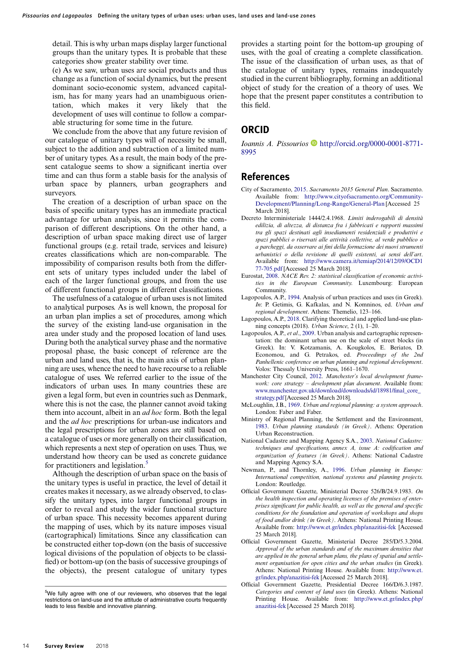<span id="page-14-0"></span>detail. This is why urban maps display larger functional groups than the unitary types. It is probable that these categories show greater stability over time.

(e) As we saw, urban uses are social products and thus change as a function of social dynamics, but the present dominant socio-economic system, advanced capitalism, has for many years had an unambiguous orientation, which makes it very likely that the development of uses will continue to follow a comparable structuring for some time in the future.

We conclude from the above that any future revision of our catalogue of unitary types will of necessity be small, subject to the addition and subtraction of a limited number of unitary types. As a result, the main body of the present catalogue seems to show a significant inertia over time and can thus form a stable basis for the analysis of urban space by planners, urban geographers and surveyors.

The creation of a description of urban space on the basis of specific unitary types has an immediate practical advantage for urban analysis, since it permits the comparison of different descriptions. On the other hand, a description of urban space making direct use of larger functional groups (e.g. retail trade, services and leisure) creates classifications which are non-comparable. The impossibility of comparison results both from the different sets of unitary types included under the label of each of the larger functional groups, and from the use of different functional groups in different classifications.

The usefulness of a catalogue of urban uses is not limited to analytical purposes. As is well known, the proposal for an urban plan implies a set of procedures, among which the survey of the existing land-use organisation in the area under study and the proposed location of land uses. During both the analytical survey phase and the normative proposal phase, the basic concept of reference are the urban and land uses, that is, the main axis of urban planning are uses, whence the need to have recourse to a reliable catalogue of uses. We referred earlier to the issue of the indicators of urban uses. In many countries these are given a legal form, but even in countries such as Denmark, where this is not the case, the planner cannot avoid taking them into account, albeit in an ad hoc form. Both the legal and the ad hoc prescriptions for urban-use indicators and the legal prescriptions for urban zones are still based on a catalogue of uses or more generally on their classification, which represents a next step of operation on uses. Thus, we understand how theory can be used as concrete guidance for practitioners and legislation.<sup>5</sup>

Although the description of urban space on the basis of the unitary types is useful in practice, the level of detail it creates makes it necessary, as we already observed, to classify the unitary types, into larger functional groups in order to reveal and study the wider functional structure of urban space. This necessity becomes apparent during the mapping of uses, which by its nature imposes visual (cartographical) limitations. Since any classification can be constructed either top-down (on the basis of successive logical divisions of the population of objects to be classified) or bottom-up (on the basis of successive groupings of the objects), the present catalogue of unitary types provides a starting point for the bottom-up grouping of uses, with the goal of creating a complete classification. The issue of the classification of urban uses, as that of the catalogue of unitary types, remains inadequately studied in the current bibliography, forming an additional object of study for the creation of a theory of uses. We hope that the present paper constitutes a contribution to this field.

# ORCID

Ioannis A. Pissourios D[http://orcid.org/0000-0001-8771-](http://orcid.org/0000-0001-8771-8995) [8995](http://orcid.org/0000-0001-8771-8995)

# References

- City of Sacramento, [2015.](#page-6-0) Sacramento 2035 General Plan. Sacramento. Available from: [http://www.cityofsacramento.org/Community-](http://www.cityofsacramento.org/Community-Development/Planning/Long-Range/General-Plan)[Development/Planning/Long-Range/General-Plan](http://www.cityofsacramento.org/Community-Development/Planning/Long-Range/General-Plan) [Accessed 25 March 2018].
- Decreto Ιnterministeriale 1444/2.4.1968. Limiti inderogabili di densità edilizia, di altezza, di distanza fra i fabbricati e rapporti massimi tra gli spazi destinati agli insediamenti residenziali e produttivi e spazi pubblici o riservati alle attività collettive, al verde pubblico o a parcheggi, da osservare ai fini della formazione dei nuovi strumenti urbanistici o della revisione di quelli esistenti, ai sensi dell'art. Available from: [http://www.camera.it/temiap/2014/12/09/OCD1](http://www.camera.it/temiap/2014/12/09/OCD177-705.pdf) [77-705.pdf](http://www.camera.it/temiap/2014/12/09/OCD177-705.pdf) [Accessed 25 March 2018].
- Eurostat, [2008](#page-5-0). NACE Rev. 2: statistical classification of economic activities in the European Community. Luxembourg: European Community.
- Lagopoulos, A.P., [1994.](#page-2-0) Analysis of urban practices and uses (in Greek). In: P. Getimis, G. Kafkalas, and N. Komninos, ed. Urban and regional development. Athens: Themelio, 123–166.
- Lagopoulos, A.P., [2018](#page-1-0). Clarifying theoretical and applied land-use planning concepts (2018). Urban Science, 2 (1), 1–20.
- Lagopoulos, A.P., et al., [2009.](#page-3-0) Urban analysis and cartographic representation: the dominant urban use on the scale of street blocks (in Greek). In: V. Kotzamanis, A. Kougkolos, E. Beriatos, D. Economou, and G. Petrakos, ed. Proceedings of the 2nd Panhellenic conference on urban planning and regional development. Volos: Thessaly University Press, 1661–1670.
- Manchester City Council, [2012](#page-6-0). Manchester's local development framework: core strategy – development plan document. Available from: [www.manchester.gov.uk/download/downloads/id/18981/](http://www.manchester.gov.uk/download/downloads/id/18981/final_core_strategy.pdf)final\_core\_ [strategy.pdf](http://www.manchester.gov.uk/download/downloads/id/18981/final_core_strategy.pdf) [Accessed 25 March 2018].
- McLoughlin, J.B., [1969.](#page-2-0) Urban and regional planning: a system approach. London: Faber and Faber.
- Ministry of Regional Planning, the Settlement and the Environment, [1983](#page-6-0). Urban planning standards (in Greek). Athens: Operation Urban Reconstruction.
- National Cadastre and Mapping Agency S.A., [2003.](#page-6-0) National Cadastre: techniques and specifications, annex A, issue A: codification and organization of features (in Greek). Athens: National Cadastre and Mapping Agency S.A.
- Newman, P., and Thornley, A., [1996](#page-6-0). Urban planning in Europe: International competition, national systems and planning projects. London: Routledge.
- Official Government Gazette, Ministerial Decree 526/B/24.9.1983. On the health inspection and operating licenses of the premises of enterprises significant for public health, as well as the general and specific conditions for the foundation and operation of workshops and shops of food and/or drink (in Greek). Athens: National Printing House. Available from: <http://www.et.gr/index.php/anazitisi-fek> [Accessed 25 March 2018].
- Official Government Gazette, Ministerial Decree 285/D/5.3.2004. Approval of the urban standards and of the maximum densities that are applied in the general urban plans, the plans of spatial and settlement organisation for open cities and the urban studies (in Greek). Athens: National Printing House. Available from: [http://www.et.](http://www.et.gr/index.php/anazitisi-fek) [gr/index.php/anazitisi-fek](http://www.et.gr/index.php/anazitisi-fek) [Accessed 25 March 2018].
- Official Government Gazette, Presidential Decree 166/D/6.3.1987. Categories and content of land uses (in Greek). Athens: National Printing House. Available from: [http://www.et.gr/index.php/](http://www.et.gr/index.php/anazitisi-fek) [anazitisi-fek](http://www.et.gr/index.php/anazitisi-fek) [Accessed 25 March 2018].

<sup>&</sup>lt;sup>5</sup>We fully agree with one of our reviewers, who observes that the legal restrictions on land-use and the attitude of administrative courts frequently leads to less flexible and innovative planning.